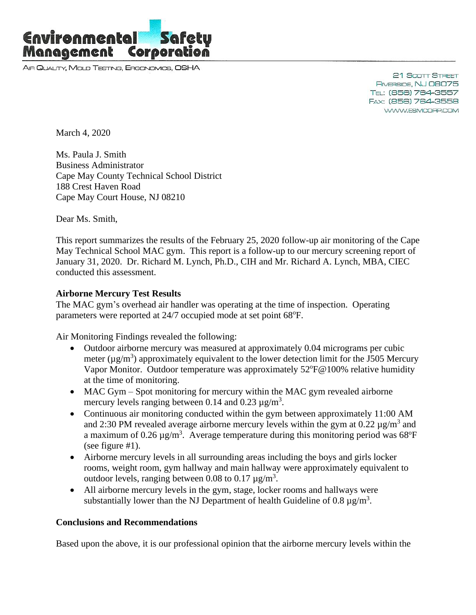

AIR QUALITY, MOLD TESTING, ERGONOMICS, OSHA

21 Scott Street RIVERSIDE, NJ 08075 TEL: (856) 764-3557 FAX: (856) 764-3558 WWW.ESMCORP.COM

March 4, 2020

Ms. Paula J. Smith Business Administrator Cape May County Technical School District 188 Crest Haven Road Cape May Court House, NJ 08210

Dear Ms. Smith,

This report summarizes the results of the February 25, 2020 follow-up air monitoring of the Cape May Technical School MAC gym. This report is a follow-up to our mercury screening report of January 31, 2020. Dr. Richard M. Lynch, Ph.D., CIH and Mr. Richard A. Lynch, MBA, CIEC conducted this assessment.

## **Airborne Mercury Test Results**

The MAC gym's overhead air handler was operating at the time of inspection. Operating parameters were reported at 24/7 occupied mode at set point 68°F.

Air Monitoring Findings revealed the following:

- Outdoor airborne mercury was measured at approximately 0.04 micrograms per cubic meter ( $\mu$ g/m<sup>3</sup>) approximately equivalent to the lower detection limit for the J505 Mercury Vapor Monitor. Outdoor temperature was approximately 52°F@100% relative humidity at the time of monitoring.
- MAC Gym Spot monitoring for mercury within the MAC gym revealed airborne mercury levels ranging between 0.14 and 0.23  $\mu$ g/m<sup>3</sup>.
- Continuous air monitoring conducted within the gym between approximately 11:00 AM and 2:30 PM revealed average airborne mercury levels within the gym at  $0.22 \mu g/m^3$  and a maximum of  $0.26 \,\mathrm{\upmu g/m^3}$ . Average temperature during this monitoring period was 68°F (see figure #1).
- Airborne mercury levels in all surrounding areas including the boys and girls locker rooms, weight room, gym hallway and main hallway were approximately equivalent to outdoor levels, ranging between 0.08 to 0.17  $\mu$ g/m<sup>3</sup>.
- All airborne mercury levels in the gym, stage, locker rooms and hallways were substantially lower than the NJ Department of health Guideline of 0.8  $\mu$ g/m<sup>3</sup>.

## **Conclusions and Recommendations**

Based upon the above, it is our professional opinion that the airborne mercury levels within the